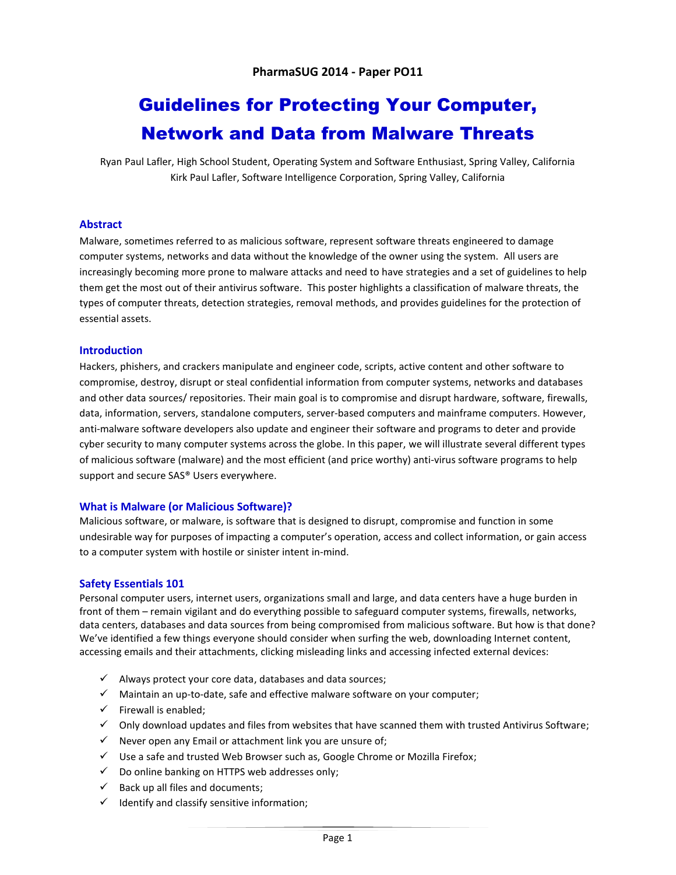# Guidelines for Protecting Your Computer, Network and Data from Malware Threats

Ryan Paul Lafler, High School Student, Operating System and Software Enthusiast, Spring Valley, California Kirk Paul Lafler, Software Intelligence Corporation, Spring Valley, California

# **Abstract**

Malware, sometimes referred to as malicious software, represent software threats engineered to damage computer systems, networks and data without the knowledge of the owner using the system. All users are increasingly becoming more prone to malware attacks and need to have strategies and a set of guidelines to help them get the most out of their antivirus software. This poster highlights a classification of malware threats, the types of computer threats, detection strategies, removal methods, and provides guidelines for the protection of essential assets.

# **Introduction**

Hackers, phishers, and crackers manipulate and engineer code, scripts, active content and other software to compromise, destroy, disrupt or steal confidential information from computer systems, networks and databases and other data sources/ repositories. Their main goal is to compromise and disrupt hardware, software, firewalls, data, information, servers, standalone computers, server-based computers and mainframe computers. However, anti-malware software developers also update and engineer their software and programs to deter and provide cyber security to many computer systems across the globe. In this paper, we will illustrate several different types of malicious software (malware) and the most efficient (and price worthy) anti-virus software programs to help support and secure SAS® Users everywhere.

# **What is Malware (or Malicious Software)?**

Malicious software, or malware, is software that is designed to disrupt, compromise and function in some undesirable way for purposes of impacting a computer's operation, access and collect information, or gain access to a computer system with hostile or sinister intent in-mind.

# **Safety Essentials 101**

Personal computer users, internet users, organizations small and large, and data centers have a huge burden in front of them – remain vigilant and do everything possible to safeguard computer systems, firewalls, networks, data centers, databases and data sources from being compromised from malicious software. But how is that done? We've identified a few things everyone should consider when surfing the web, downloading Internet content, accessing emails and their attachments, clicking misleading links and accessing infected external devices:

- $\checkmark$  Always protect your core data, databases and data sources;
- $\checkmark$  Maintain an up-to-date, safe and effective malware software on your computer;
- $\checkmark$  Firewall is enabled;
- $\checkmark$  Only download updates and files from websites that have scanned them with trusted Antivirus Software;
- $\checkmark$  Never open any Email or attachment link you are unsure of;
- $\checkmark$  Use a safe and trusted Web Browser such as, Google Chrome or Mozilla Firefox;
- $\checkmark$  Do online banking on HTTPS web addresses only;
- $\checkmark$  Back up all files and documents;
- $\checkmark$  Identify and classify sensitive information;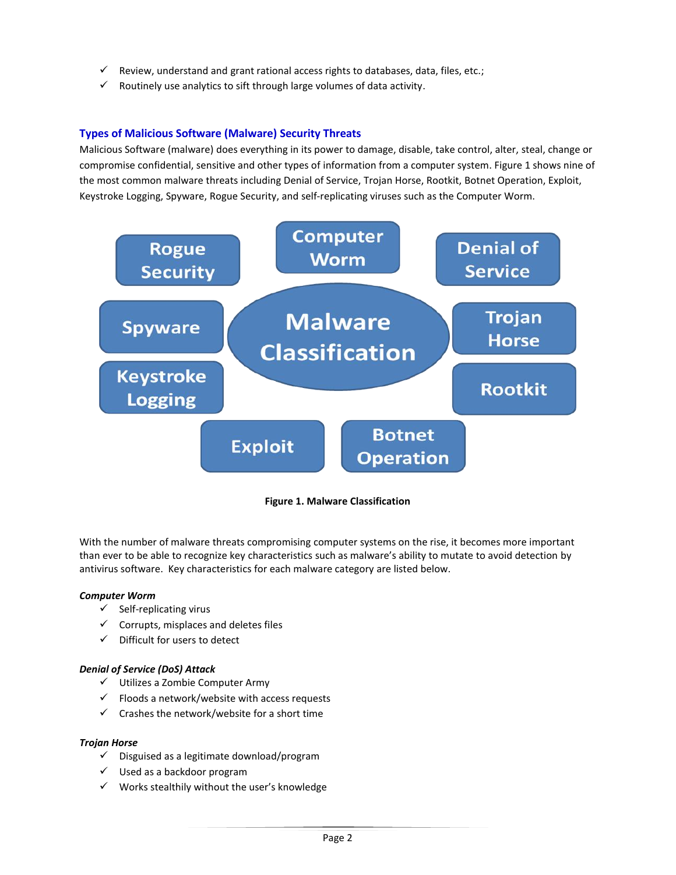- $\checkmark$  Review, understand and grant rational access rights to databases, data, files, etc.;
- $\checkmark$  Routinely use analytics to sift through large volumes of data activity.

# **Types of Malicious Software (Malware) Security Threats**

Malicious Software (malware) does everything in its power to damage, disable, take control, alter, steal, change or compromise confidential, sensitive and other types of information from a computer system. Figure 1 shows nine of the most common malware threats including Denial of Service, Trojan Horse, Rootkit, Botnet Operation, Exploit, Keystroke Logging, Spyware, Rogue Security, and self-replicating viruses such as the Computer Worm.



**Figure 1. Malware Classification**

With the number of malware threats compromising computer systems on the rise, it becomes more important than ever to be able to recognize key characteristics such as malware's ability to mutate to avoid detection by antivirus software. Key characteristics for each malware category are listed below.

# *Computer Worm*

- $\checkmark$  Self-replicating virus
- $\checkmark$  Corrupts, misplaces and deletes files
- $\checkmark$  Difficult for users to detect

# *Denial of Service (DoS) Attack*

- $\checkmark$  Utilizes a Zombie Computer Army
- $\checkmark$  Floods a network/website with access requests
- $\checkmark$  Crashes the network/website for a short time

# *Trojan Horse*

- $\checkmark$  Disguised as a legitimate download/program
- $\checkmark$  Used as a backdoor program
- $\checkmark$  Works stealthily without the user's knowledge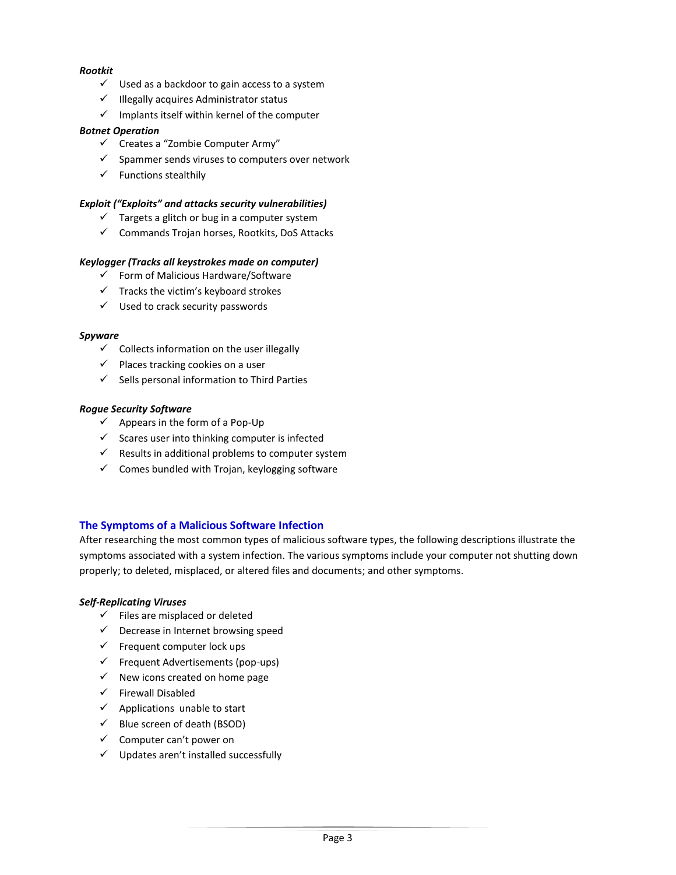# *Rootkit*

- $\checkmark$  Used as a backdoor to gain access to a system
- $\checkmark$  Illegally acquires Administrator status
- $\checkmark$  Implants itself within kernel of the computer

# *Botnet Operation*

- $\checkmark$  Creates a "Zombie Computer Army"
- $\checkmark$  Spammer sends viruses to computers over network
- $\checkmark$  Functions stealthily

# *Exploit ("Exploits" and attacks security vulnerabilities)*

- $\checkmark$  Targets a glitch or bug in a computer system
- $\checkmark$  Commands Trojan horses, Rootkits, DoS Attacks

# *Keylogger (Tracks all keystrokes made on computer)*

- $\checkmark$  Form of Malicious Hardware/Software
- $\checkmark$  Tracks the victim's keyboard strokes
- $\checkmark$  Used to crack security passwords

#### *Spyware*

- $\checkmark$  Collects information on the user illegally
- $\checkmark$  Places tracking cookies on a user
- $\checkmark$  Sells personal information to Third Parties

# *Rogue Security Software*

- $\checkmark$  Appears in the form of a Pop-Up
- $\checkmark$  Scares user into thinking computer is infected
- $\checkmark$  Results in additional problems to computer system
- $\checkmark$  Comes bundled with Trojan, keylogging software

# **The Symptoms of a Malicious Software Infection**

After researching the most common types of malicious software types, the following descriptions illustrate the symptoms associated with a system infection. The various symptoms include your computer not shutting down properly; to deleted, misplaced, or altered files and documents; and other symptoms.

# *Self-Replicating Viruses*

- $\checkmark$  Files are misplaced or deleted
- $\checkmark$  Decrease in Internet browsing speed
- $\checkmark$  Frequent computer lock ups
- $\checkmark$  Frequent Advertisements (pop-ups)
- $\checkmark$  New icons created on home page
- $\checkmark$  Firewall Disabled
- $\checkmark$  Applications unable to start
- $\checkmark$  Blue screen of death (BSOD)
- $\checkmark$  Computer can't power on
- $\checkmark$  Updates aren't installed successfully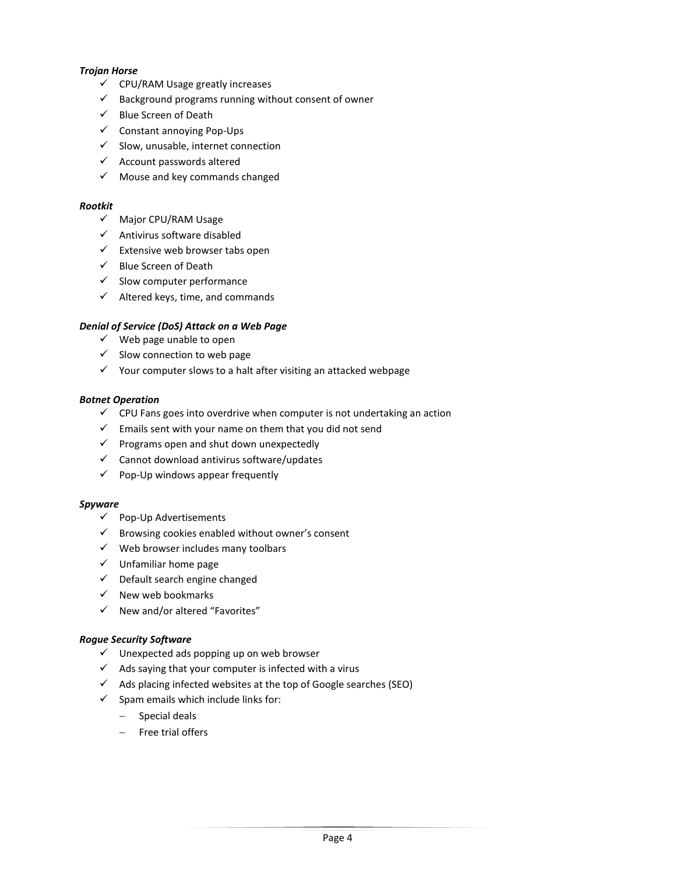# *Trojan Horse*

- $\checkmark$  CPU/RAM Usage greatly increases
- $\checkmark$  Background programs running without consent of owner
- $\checkmark$  Blue Screen of Death
- $\checkmark$  Constant annoying Pop-Ups
- $\checkmark$  Slow, unusable, internet connection
- $\checkmark$  Account passwords altered
- $\checkmark$  Mouse and key commands changed

#### *Rootkit*

- $\checkmark$  Major CPU/RAM Usage
- $\checkmark$  Antivirus software disabled
- $\checkmark$  Extensive web browser tabs open
- $\checkmark$  Blue Screen of Death
- $\checkmark$  Slow computer performance
- $\checkmark$  Altered keys, time, and commands

# *Denial of Service (DoS) Attack on a Web Page*

- $\checkmark$  Web page unable to open
- $\checkmark$  Slow connection to web page
- $\checkmark$  Your computer slows to a halt after visiting an attacked webpage

#### *Botnet Operation*

- $\checkmark$  CPU Fans goes into overdrive when computer is not undertaking an action
- $\checkmark$  Emails sent with your name on them that you did not send
- $\checkmark$  Programs open and shut down unexpectedly
- $\checkmark$  Cannot download antivirus software/updates
- $\checkmark$  Pop-Up windows appear frequently

#### *Spyware*

- $\checkmark$  Pop-Up Advertisements
- $\checkmark$  Browsing cookies enabled without owner's consent
- $\checkmark$  Web browser includes many toolbars
- $\checkmark$  Unfamiliar home page
- $\checkmark$  Default search engine changed
- $\checkmark$  New web bookmarks
- $\checkmark$  New and/or altered "Favorites"

# *Rogue Security Software*

- $\checkmark$  Unexpected ads popping up on web browser
- $\checkmark$  Ads saying that your computer is infected with a virus
- $\checkmark$  Ads placing infected websites at the top of Google searches (SEO)
- $\checkmark$  Spam emails which include links for:
	- Special deals
	- $-$  Free trial offers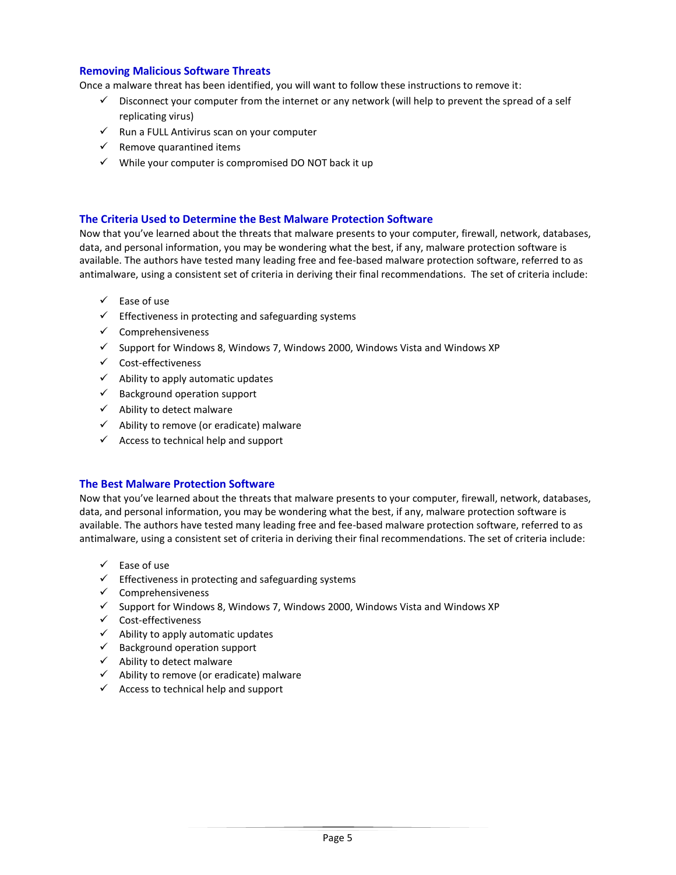# **Removing Malicious Software Threats**

Once a malware threat has been identified, you will want to follow these instructions to remove it:

- $\checkmark$  Disconnect your computer from the internet or any network (will help to prevent the spread of a self replicating virus)
- $\checkmark$  Run a FULL Antivirus scan on your computer
- $\checkmark$  Remove quarantined items
- $\checkmark$  While your computer is compromised DO NOT back it up

# **The Criteria Used to Determine the Best Malware Protection Software**

Now that you've learned about the threats that malware presents to your computer, firewall, network, databases, data, and personal information, you may be wondering what the best, if any, malware protection software is available. The authors have tested many leading free and fee-based malware protection software, referred to as antimalware, using a consistent set of criteria in deriving their final recommendations. The set of criteria include:

- $\checkmark$  Ease of use
- $\checkmark$  Effectiveness in protecting and safeguarding systems
- $\checkmark$  Comprehensiveness
- $\checkmark$  Support for Windows 8, Windows 7, Windows 2000, Windows Vista and Windows XP
- $\checkmark$  Cost-effectiveness
- $\checkmark$  Ability to apply automatic updates
- $\checkmark$  Background operation support
- $\checkmark$  Ability to detect malware
- $\checkmark$  Ability to remove (or eradicate) malware
- $\checkmark$  Access to technical help and support

# **The Best Malware Protection Software**

Now that you've learned about the threats that malware presents to your computer, firewall, network, databases, data, and personal information, you may be wondering what the best, if any, malware protection software is available. The authors have tested many leading free and fee-based malware protection software, referred to as antimalware, using a consistent set of criteria in deriving their final recommendations. The set of criteria include:

- $\checkmark$  Ease of use
- $\checkmark$  Effectiveness in protecting and safeguarding systems
- $\checkmark$  Comprehensiveness
- $\checkmark$  Support for Windows 8, Windows 7, Windows 2000, Windows Vista and Windows XP
- $\checkmark$  Cost-effectiveness
- $\checkmark$  Ability to apply automatic updates
- $\checkmark$  Background operation support
- $\checkmark$  Ability to detect malware
- $\checkmark$  Ability to remove (or eradicate) malware
- $\checkmark$  Access to technical help and support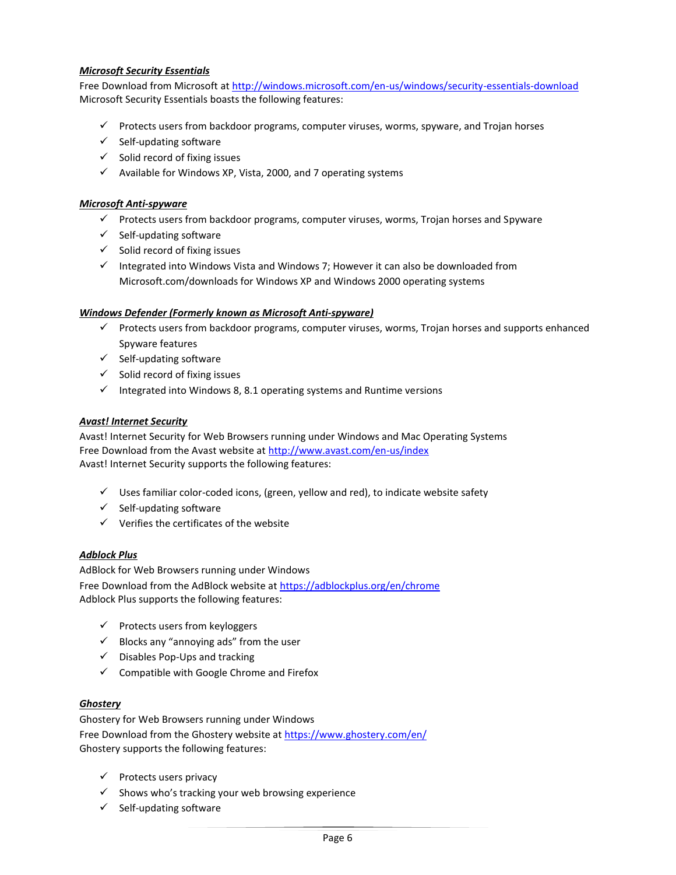# *Microsoft Security Essentials*

Free Download from Microsoft at<http://windows.microsoft.com/en-us/windows/security-essentials-download> Microsoft Security Essentials boasts the following features:

- $\checkmark$  Protects users from backdoor programs, computer viruses, worms, spyware, and Trojan horses
- $\checkmark$  Self-updating software
- $\checkmark$  Solid record of fixing issues
- $\checkmark$  Available for Windows XP, Vista, 2000, and 7 operating systems

# *Microsoft Anti-spyware*

- $\checkmark$  Protects users from backdoor programs, computer viruses, worms, Trojan horses and Spyware
- $\checkmark$  Self-updating software
- $\checkmark$  Solid record of fixing issues
- Integrated into Windows Vista and Windows 7; However it can also be downloaded from Microsoft.com/downloads for Windows XP and Windows 2000 operating systems

# *Windows Defender (Formerly known as Microsoft Anti-spyware)*

- $\checkmark$  Protects users from backdoor programs, computer viruses, worms, Trojan horses and supports enhanced Spyware features
- $\checkmark$  Self-updating software
- $\checkmark$  Solid record of fixing issues
- $\checkmark$  Integrated into Windows 8, 8.1 operating systems and Runtime versions

# *Avast! Internet Security*

Avast! Internet Security for Web Browsers running under Windows and Mac Operating Systems Free Download from the Avast website at<http://www.avast.com/en-us/index> Avast! Internet Security supports the following features:

- $\checkmark$  Uses familiar color-coded icons, (green, yellow and red), to indicate website safety
- $\checkmark$  Self-updating software
- $\checkmark$  Verifies the certificates of the website

# *Adblock Plus*

AdBlock for Web Browsers running under Windows Free Download from the AdBlock website a[t https://adblockplus.org/en/chrome](https://adblockplus.org/en/chrome) Adblock Plus supports the following features:

- $\checkmark$  Protects users from keyloggers
- $\checkmark$  Blocks any "annoying ads" from the user
- $\checkmark$  Disables Pop-Ups and tracking
- $\checkmark$  Compatible with Google Chrome and Firefox

# *Ghostery*

Ghostery for Web Browsers running under Windows Free Download from the Ghostery website at<https://www.ghostery.com/en/> Ghostery supports the following features:

- $\checkmark$  Protects users privacy
- $\checkmark$  Shows who's tracking your web browsing experience
- $\checkmark$  Self-updating software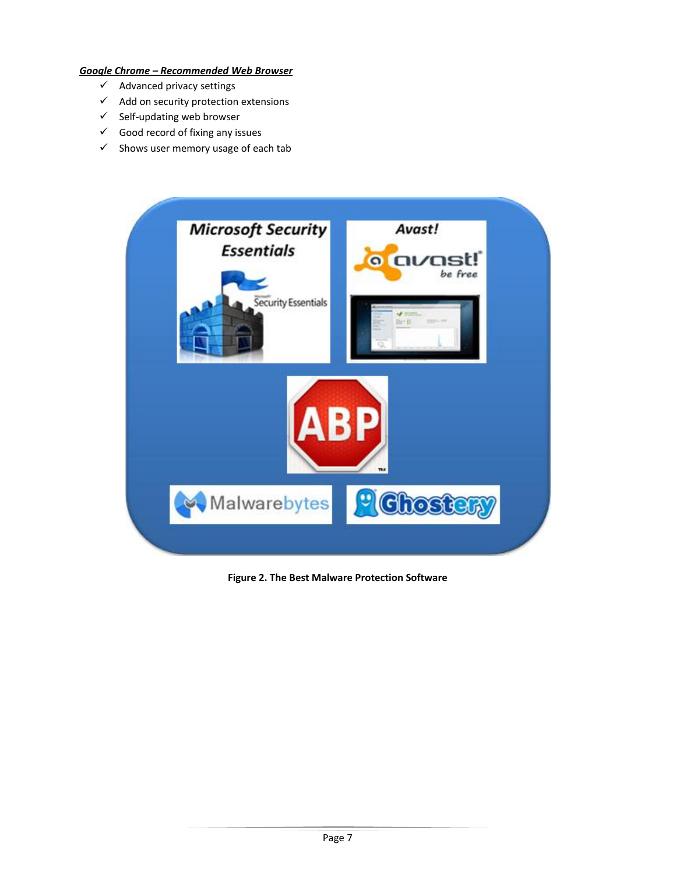# *Google Chrome – Recommended Web Browser*

- $\checkmark$  Advanced privacy settings
- $\checkmark$  Add on security protection extensions
- $\checkmark$  Self-updating web browser
- $\checkmark$  Good record of fixing any issues
- $\checkmark$  Shows user memory usage of each tab



**Figure 2. The Best Malware Protection Software**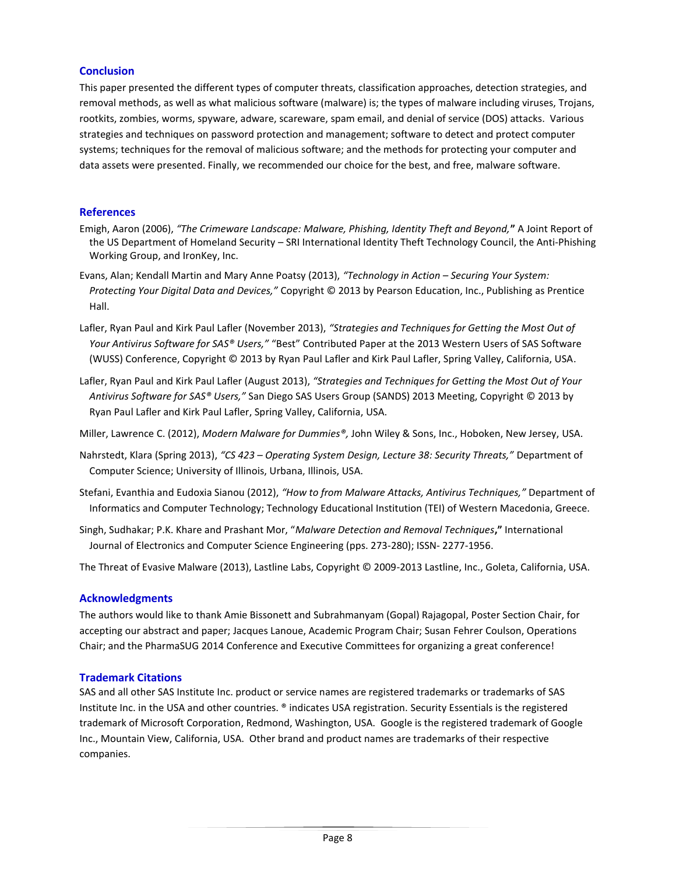# **Conclusion**

This paper presented the different types of computer threats, classification approaches, detection strategies, and removal methods, as well as what malicious software (malware) is; the types of malware including viruses, Trojans, rootkits, zombies, worms, spyware, adware, scareware, spam email, and denial of service (DOS) attacks. Various strategies and techniques on password protection and management; software to detect and protect computer systems; techniques for the removal of malicious software; and the methods for protecting your computer and data assets were presented. Finally, we recommended our choice for the best, and free, malware software.

# **References**

- Emigh, Aaron (2006), *"The Crimeware Landscape: Malware, Phishing, Identity Theft and Beyond,***"** A Joint Report of the US Department of Homeland Security – SRI International Identity Theft Technology Council, the Anti-Phishing Working Group, and IronKey, Inc.
- Evans, Alan; Kendall Martin and Mary Anne Poatsy (2013), *"Technology in Action – Securing Your System: Protecting Your Digital Data and Devices,"* Copyright © 2013 by Pearson Education, Inc., Publishing as Prentice Hall.
- Lafler, Ryan Paul and Kirk Paul Lafler (November 2013), *"Strategies and Techniques for Getting the Most Out of Your Antivirus Software for SAS® Users,"* "Best" Contributed Paper at the 2013 Western Users of SAS Software (WUSS) Conference, Copyright © 2013 by Ryan Paul Lafler and Kirk Paul Lafler, Spring Valley, California, USA.
- Lafler, Ryan Paul and Kirk Paul Lafler (August 2013), *"Strategies and Techniques for Getting the Most Out of Your Antivirus Software for SAS® Users,"* San Diego SAS Users Group (SANDS) 2013 Meeting, Copyright © 2013 by Ryan Paul Lafler and Kirk Paul Lafler, Spring Valley, California, USA.
- Miller, Lawrence C. (2012), *Modern Malware for Dummies®,* John Wiley & Sons, Inc., Hoboken, New Jersey, USA.
- Nahrstedt, Klara (Spring 2013), *"CS 423 – Operating System Design, Lecture 38: Security Threats,"* Department of Computer Science; University of Illinois, Urbana, Illinois, USA.
- Stefani, Evanthia and Eudoxia Sianou (2012), *"How to from Malware Attacks, Antivirus Techniques,"* Department of Informatics and Computer Technology; Technology Educational Institution (TEI) of Western Macedonia, Greece.
- Singh, Sudhakar; P.K. Khare and Prashant Mor, "*Malware Detection and Removal Techniques***,"** International Journal of Electronics and Computer Science Engineering (pps. 273-280); ISSN- 2277-1956.

The Threat of Evasive Malware (2013), Lastline Labs, Copyright © 2009-2013 Lastline, Inc., Goleta, California, USA.

# **Acknowledgments**

The authors would like to thank Amie Bissonett and Subrahmanyam (Gopal) Rajagopal, Poster Section Chair, for accepting our abstract and paper; Jacques Lanoue, Academic Program Chair; Susan Fehrer Coulson, Operations Chair; and the PharmaSUG 2014 Conference and Executive Committees for organizing a great conference!

# **Trademark Citations**

SAS and all other SAS Institute Inc. product or service names are registered trademarks or trademarks of SAS Institute Inc. in the USA and other countries. ® indicates USA registration. Security Essentials is the registered trademark of Microsoft Corporation, Redmond, Washington, USA. Google is the registered trademark of Google Inc., Mountain View, California, USA. Other brand and product names are trademarks of their respective companies.